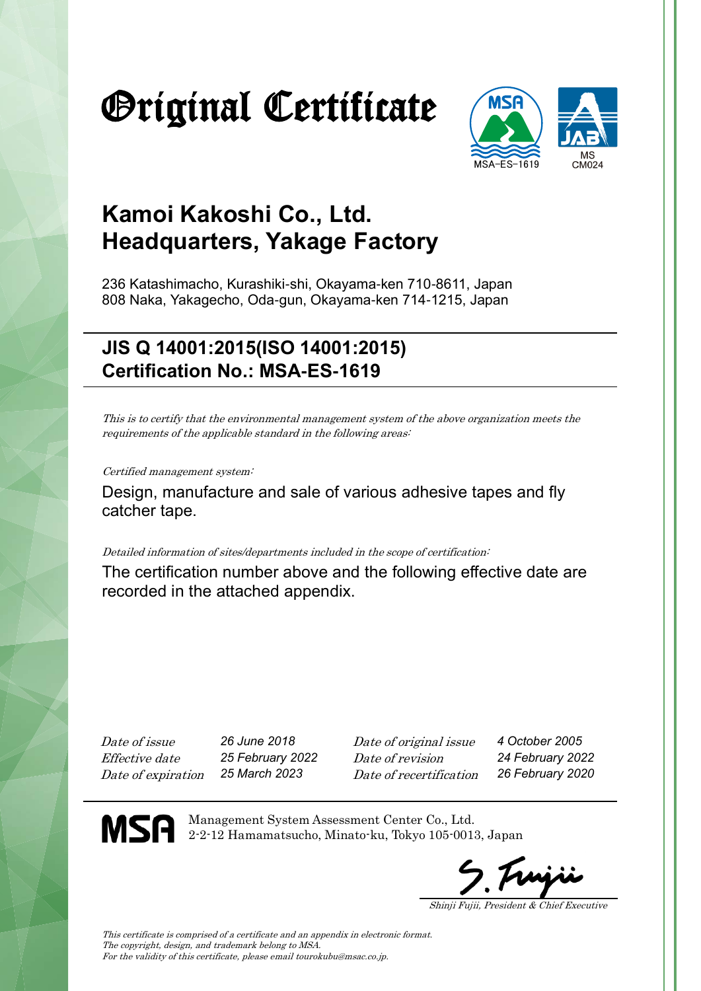# Original Certificate



### **Kamoi Kakoshi Co., Ltd. Headquarters, Yakage Factory**

236 Katashimacho, Kurashiki-shi, Okayama-ken 710-8611, Japan 808 Naka, Yakagecho, Oda-gun, Okayama-ken 714-1215, Japan

### **JIS Q 14001:2015(ISO 14001:2015) Certification No.: MSA-ES-1619**

This is to certify that the environmental management system of the above organization meets the requirements of the applicable standard in the following areas:

Certified management system:

Design, manufacture and sale of various adhesive tapes and fly catcher tape.

Detailed information of sites/departments included in the scope of certification:

The certification number above and the following effective date are recorded in the attached appendix.

Date of issue *26 June 2018* Date of original issue *4 October 2005* Effective date *25 February 2022* Date of revision *24 February 2022* Date of expiration *25 March 2023* Date of recertification *26 February 2020*

MSA

Management System Assessment Center Co., Ltd. 2-2-12 Hamamatsucho, Minato-ku, Tokyo 105-0013, Japan

Shinji Fujii, President & Chief Executive

This certificate is comprised of a certificate and an appendix in electronic format. The copyright, design, and trademark belong to MSA. For the validity of this certificate, please email tourokubu@msac.co.jp.